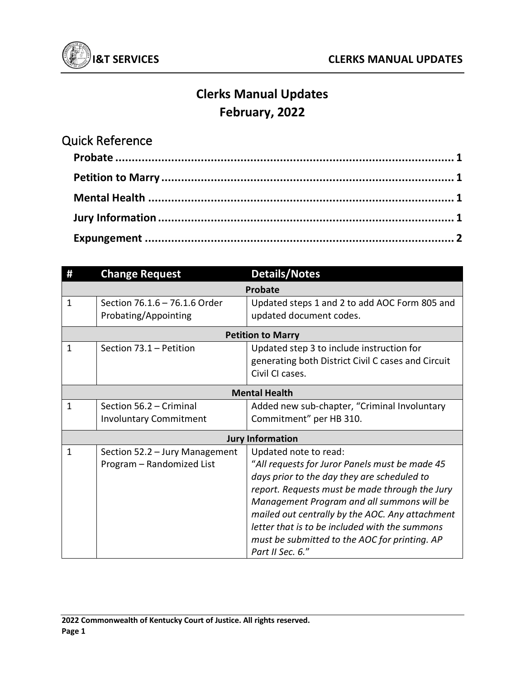

## **Clerks Manual Updates February, 2022**

## Quick Reference **Probate ....................................................................................................... 1 Petition to Marry ......................................................................................... 1 Mental Health ............................................................................................. 1 Jury Information .......................................................................................... 1 Expungement .............................................................................................. 2**

|                          | <b>Change Request</b>                                       | <b>Details/Notes</b>                                                                                                                                                                                                                                                                                                                                                                             |
|--------------------------|-------------------------------------------------------------|--------------------------------------------------------------------------------------------------------------------------------------------------------------------------------------------------------------------------------------------------------------------------------------------------------------------------------------------------------------------------------------------------|
| <b>Probate</b>           |                                                             |                                                                                                                                                                                                                                                                                                                                                                                                  |
| 1                        | Section 76.1.6 - 76.1.6 Order<br>Probating/Appointing       | Updated steps 1 and 2 to add AOC Form 805 and<br>updated document codes.                                                                                                                                                                                                                                                                                                                         |
| <b>Petition to Marry</b> |                                                             |                                                                                                                                                                                                                                                                                                                                                                                                  |
| 1                        | Section 73.1 - Petition                                     | Updated step 3 to include instruction for<br>generating both District Civil C cases and Circuit<br>Civil CI cases.                                                                                                                                                                                                                                                                               |
| <b>Mental Health</b>     |                                                             |                                                                                                                                                                                                                                                                                                                                                                                                  |
| $\mathbf{1}$             | Section 56.2 - Criminal<br><b>Involuntary Commitment</b>    | Added new sub-chapter, "Criminal Involuntary<br>Commitment" per HB 310.                                                                                                                                                                                                                                                                                                                          |
| <b>Jury Information</b>  |                                                             |                                                                                                                                                                                                                                                                                                                                                                                                  |
| 1                        | Section 52.2 - Jury Management<br>Program - Randomized List | Updated note to read:<br>"All requests for Juror Panels must be made 45<br>days prior to the day they are scheduled to<br>report. Requests must be made through the Jury<br>Management Program and all summons will be<br>mailed out centrally by the AOC. Any attachment<br>letter that is to be included with the summons<br>must be submitted to the AOC for printing. AP<br>Part II Sec. 6." |